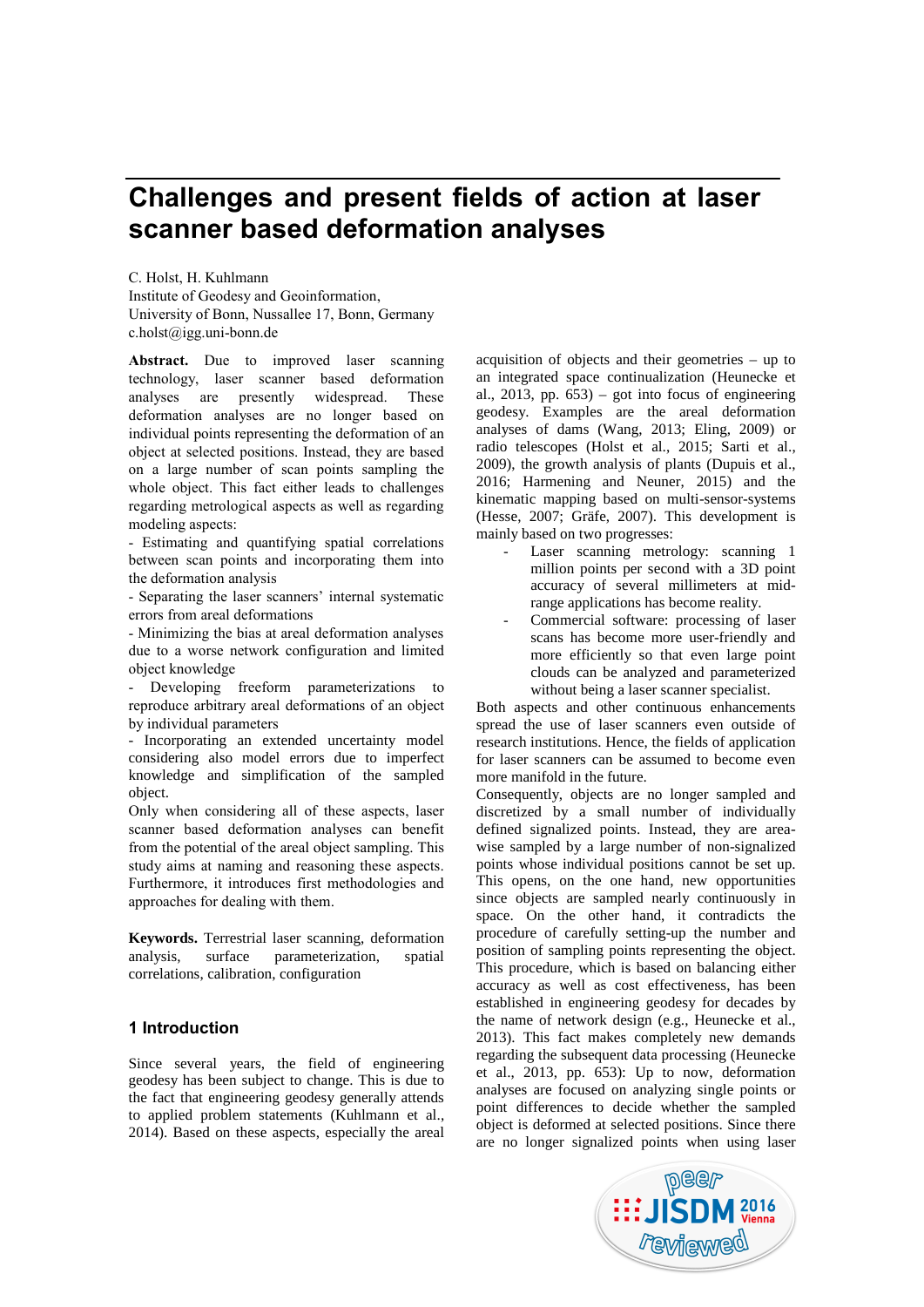# **Challenges and present fields of action at laser scanner based deformation analyses**

C. Holst, H. Kuhlmann Institute of Geodesy and Geoinformation, University of Bonn, Nussallee 17, Bonn, Germany c.holst@igg.uni-bonn.de

Abstract. Due to improved laser scanning technology, laser scanner based deformation analyses are presently widespread. These deformation analyses are no longer based on individual points representing the deformation of an object at selected positions. Instead, they are based on a large number of scan points sampling the whole object. This fact either leads to challenges regarding metrological aspects as well as regarding modeling aspects:

- Estimating and quantifying spatial correlations between scan points and incorporating them into the deformation analysis

- Separating the laser scanners' internal systematic errors from areal deformations

- Minimizing the bias at areal deformation analyses due to a worse network configuration and limited object knowledge

Developing freeform parameterizations to reproduce arbitrary areal deformations of an object by individual parameters

- Incorporating an extended uncertainty model considering also model errors due to imperfect knowledge and simplification of the sampled object.

Only when considering all of these aspects, laser scanner based deformation analyses can benefit from the potential of the areal object sampling. This study aims at naming and reasoning these aspects. Furthermore, it introduces first methodologies and approaches for dealing with them.

**Keywords.** Terrestrial laser scanning, deformation analysis, surface parameterization, spatial correlations, calibration, configuration

# **1 Introduction**

Since several years, the field of engineering geodesy has been subject to change. This is due to the fact that engineering geodesy generally attends to applied problem statements (Kuhlmann et al., 2014). Based on these aspects, especially the areal

acquisition of objects and their geometries – up to an integrated space continualization (Heunecke et al., 2013, pp.  $653$ ) – got into focus of engineering geodesy. Examples are the areal deformation analyses of dams (Wang, 2013; Eling, 2009) or radio telescopes (Holst et al., 2015; Sarti et al., 2009), the growth analysis of plants (Dupuis et al., 2016; Harmening and Neuner, 2015) and the kinematic mapping based on multi-sensor-systems (Hesse, 2007; Gräfe, 2007). This development is mainly based on two progresses:

- Laser scanning metrology: scanning 1 million points per second with a 3D point accuracy of several millimeters at midrange applications has become reality.
- Commercial software: processing of laser scans has become more user-friendly and more efficiently so that even large point clouds can be analyzed and parameterized without being a laser scanner specialist.

Both aspects and other continuous enhancements spread the use of laser scanners even outside of research institutions. Hence, the fields of application for laser scanners can be assumed to become even more manifold in the future.

Consequently, objects are no longer sampled and discretized by a small number of individually defined signalized points. Instead, they are area wise sampled by a large number of non-signalized points whose individual positions cannot be set up. This opens, on the one hand, new opportunities since objects are sampled nearly continuously in space. On the other hand, it contradicts the procedure of carefully setting-up the number and position of sampling points representing the object. This procedure, which is based on balancing either accuracy as well as cost effectiveness, has been established in engineering geodesy for decades by the name of network design (e.g., Heunecke et al., 2013). This fact makes completely new demands regarding the subsequent data processing (Heunecke et al., 2013, pp. 653): Up to now, deformation analyses are focused on analyzing single points or point differences to decide whether the sampled object is deformed at selected positions. Since there are no longer signalized points when using laser

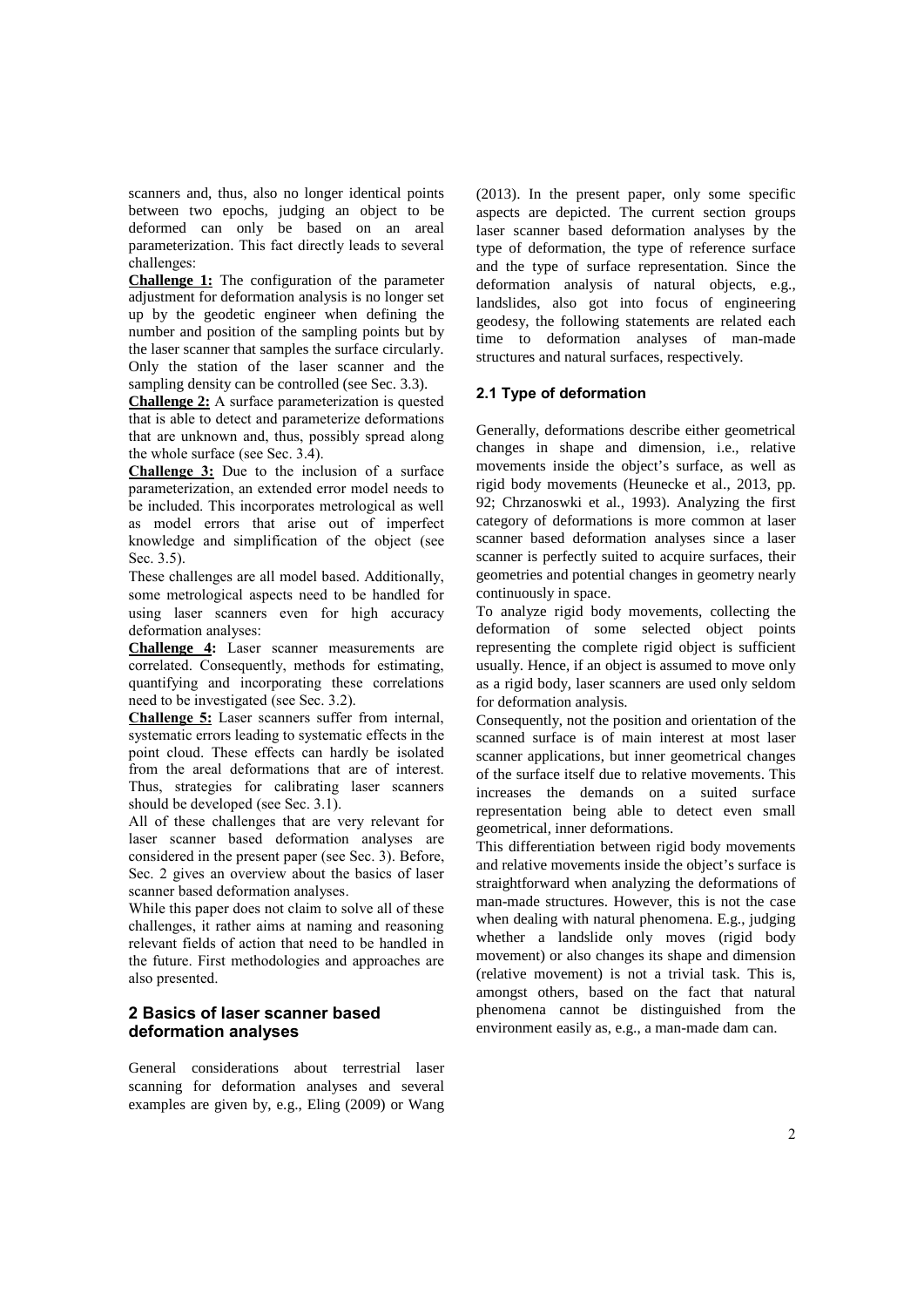scanners and, thus, also no longer identical points between two epochs, judging an object to be deformed can only be based on an areal parameterization. This fact directly leads to several challenges:

**Challenge 1:** The configuration of the parameter adjustment for deformation analysis is no longer set up by the geodetic engineer when defining the number and position of the sampling points but by the laser scanner that samples the surface circularly. Only the station of the laser scanner and the sampling density can be controlled (see Sec. 3.3).

**Challenge 2:** A surface parameterization is quested that is able to detect and parameterize deformations that are unknown and, thus, possibly spread along the whole surface (see Sec. 3.4).

**Challenge 3:** Due to the inclusion of a surface parameterization, an extended error model needs to be included. This incorporates metrological as well as model errors that arise out of imperfect knowledge and simplification of the object (see Sec. 3.5).

These challenges are all model based. Additionally, some metrological aspects need to be handled for using laser scanners even for high accuracy deformation analyses:

**Challenge 4:** Laser scanner measurements are correlated. Consequently, methods for estimating, quantifying and incorporating these correlations need to be investigated (see Sec. 3.2).

**Challenge 5:** Laser scanners suffer from internal, systematic errors leading to systematic effects in the point cloud. These effects can hardly be isolated from the areal deformations that are of interest. Thus, strategies for calibrating laser scanners should be developed (see Sec. 3.1).

All of these challenges that are very relevant for laser scanner based deformation analyses are considered in the present paper (see Sec. 3). Before, Sec. 2 gives an overview about the basics of laser scanner based deformation analyses.

While this paper does not claim to solve all of these challenges, it rather aims at naming and reasoning relevant fields of action that need to be handled in the future. First methodologies and approaches are also presented.

# **2 Basics of laser scanner based deformation analyses**

General considerations about terrestrial laser scanning for deformation analyses and several examples are given by, e.g., Eling (2009) or Wang (2013). In the present paper, only some specific aspects are depicted. The current section groups laser scanner based deformation analyses by the type of deformation, the type of reference surface and the type of surface representation. Since the deformation analysis of natural objects, e.g., landslides, also got into focus of engineering geodesy, the following statements are related each time to deformation analyses of man-made structures and natural surfaces, respectively.

# **2.1 Type of deformation**

Generally, deformations describe either geometrical changes in shape and dimension, i.e., relative movements inside the object's surface, as well as rigid body movements (Heunecke et al., 2013, pp. 92; Chrzanoswki et al., 1993). Analyzing the first category of deformations is more common at laser scanner based deformation analyses since a laser scanner is perfectly suited to acquire surfaces, their geometries and potential changes in geometry nearly continuously in space.

To analyze rigid body movements, collecting the deformation of some selected object points representing the complete rigid object is sufficient usually. Hence, if an object is assumed to move only as a rigid body, laser scanners are used only seldom for deformation analysis.

Consequently, not the position and orientation of the scanned surface is of main interest at most laser scanner applications, but inner geometrical changes of the surface itself due to relative movements. This increases the demands on a suited surface representation being able to detect even small geometrical, inner deformations.

This differentiation between rigid body movements and relative movements inside the object's surface is straightforward when analyzing the deformations of man-made structures. However, this is not the case when dealing with natural phenomena. E.g., judging whether a landslide only moves (rigid body movement) or also changes its shape and dimension (relative movement) is not a trivial task. This is, amongst others, based on the fact that natural phenomena cannot be distinguished from the environment easily as, e.g., a man-made dam can.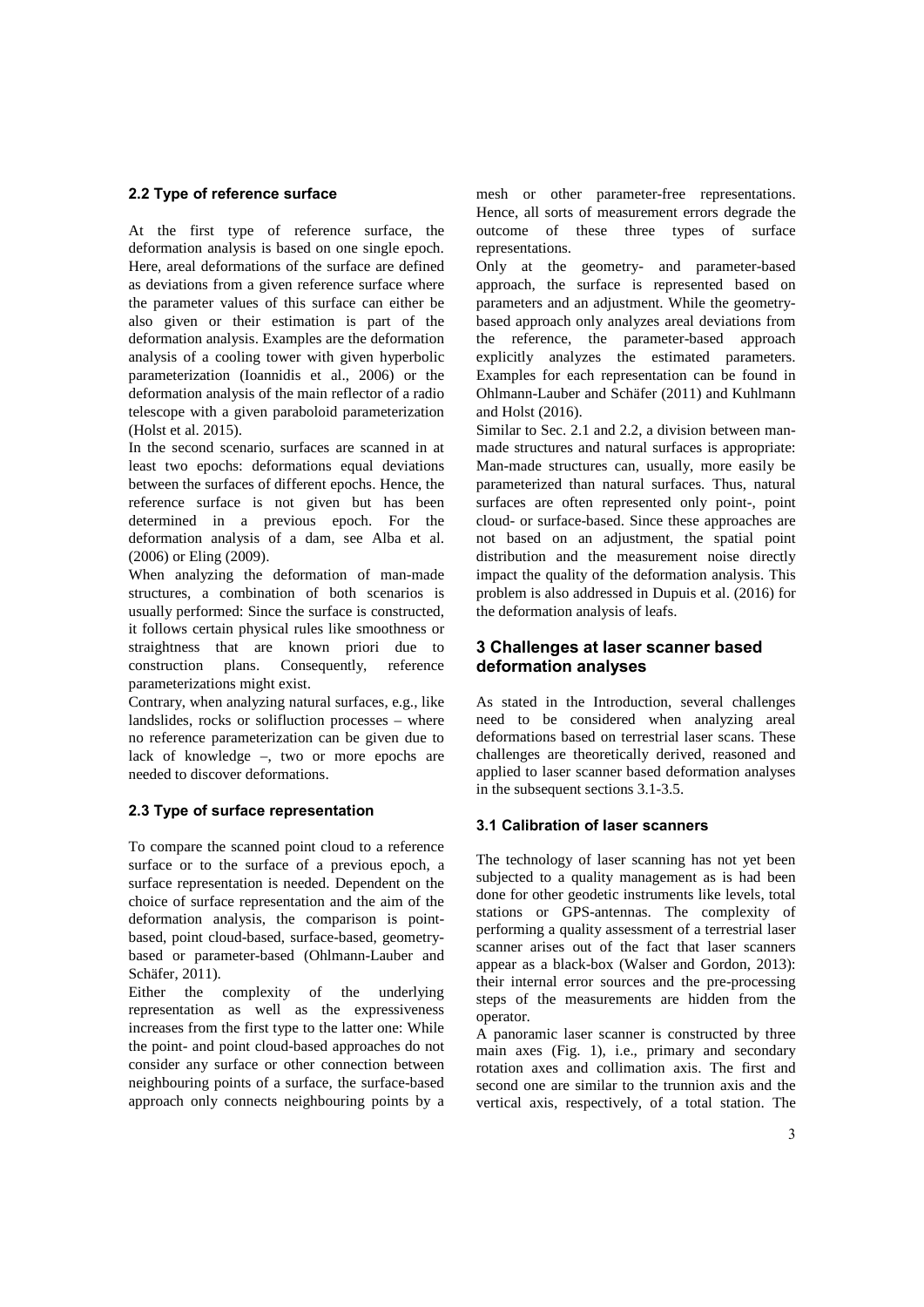# **2.2 Type of reference surface**

At the first type of reference surface, the deformation analysis is based on one single epoch. Here, areal deformations of the surface are defined as deviations from a given reference surface where the parameter values of this surface can either be also given or their estimation is part of the deformation analysis. Examples are the deformation analysis of a cooling tower with given hyperbolic parameterization (Ioannidis et al., 2006) or the deformation analysis of the main reflector of a radio telescope with a given paraboloid parameterization (Holst et al. 2015).

In the second scenario, surfaces are scanned in at least two epochs: deformations equal deviations between the surfaces of different epochs. Hence, the reference surface is not given but has been determined in a previous epoch. For the deformation analysis of a dam, see Alba et al. (2006) or Eling (2009).

When analyzing the deformation of man-made structures, a combination of both scenarios is usually performed: Since the surface is constructed, it follows certain physical rules like smoothness or straightness that are known priori due to construction plans. Consequently, reference parameterizations might exist.

Contrary, when analyzing natural surfaces, e.g., like landslides, rocks or solifluction processes – where no reference parameterization can be given due to lack of knowledge –, two or more epochs are needed to discover deformations.

# **2.3 Type of surface representation**

To compare the scanned point cloud to a reference surface or to the surface of a previous epoch, a surface representation is needed. Dependent on the choice of surface representation and the aim of the deformation analysis, the comparison is point based, point cloud-based, surface-based, geometry based or parameter-based (Ohlmann-Lauber and Schäfer, 2011).

Either the complexity of the underlying representation as well as the expressiveness increases from the first type to the latter one: While the point- and point cloud-based approaches do not consider any surface or other connection between neighbouring points of a surface, the surface-based approach only connects neighbouring points by a

mesh or other parameter-free representations. Hence, all sorts of measurement errors degrade the outcome of these three types of surface representations.

Only at the geometry- and parameter-based approach, the surface is represented based on parameters and an adjustment. While the geometry based approach only analyzes areal deviations from the reference, the parameter-based approach explicitly analyzes the estimated parameters. Examples for each representation can be found in Ohlmann-Lauber and Schäfer (2011) and Kuhlmann and Holst (2016).

Similar to Sec. 2.1 and 2.2, a division between man made structures and natural surfaces is appropriate: Man-made structures can, usually, more easily be parameterized than natural surfaces. Thus, natural surfaces are often represented only point-, point cloud- or surface-based. Since these approaches are not based on an adjustment, the spatial point distribution and the measurement noise directly impact the quality of the deformation analysis. This problem is also addressed in Dupuis et al. (2016) for the deformation analysis of leafs.

# **3 Challenges at laser scanner based deformation analyses**

As stated in the Introduction, several challenges need to be considered when analyzing areal deformations based on terrestrial laser scans. These challenges are theoretically derived, reasoned and applied to laser scanner based deformation analyses in the subsequent sections 3.1-3.5.

## **3.1 Calibration of laser scanners**

The technology of laser scanning has not yet been subjected to a quality management as is had been done for other geodetic instruments like levels, total stations or GPS-antennas. The complexity of performing a quality assessment of a terrestrial laser scanner arises out of the fact that laser scanners appear as a black-box (Walser and Gordon, 2013): their internal error sources and the pre-processing steps of the measurements are hidden from the operator.

A panoramic laser scanner is constructed by three main axes (Fig. 1), i.e., primary and secondary rotation axes and collimation axis. The first and second one are similar to the trunnion axis and the vertical axis, respectively, of a total station. The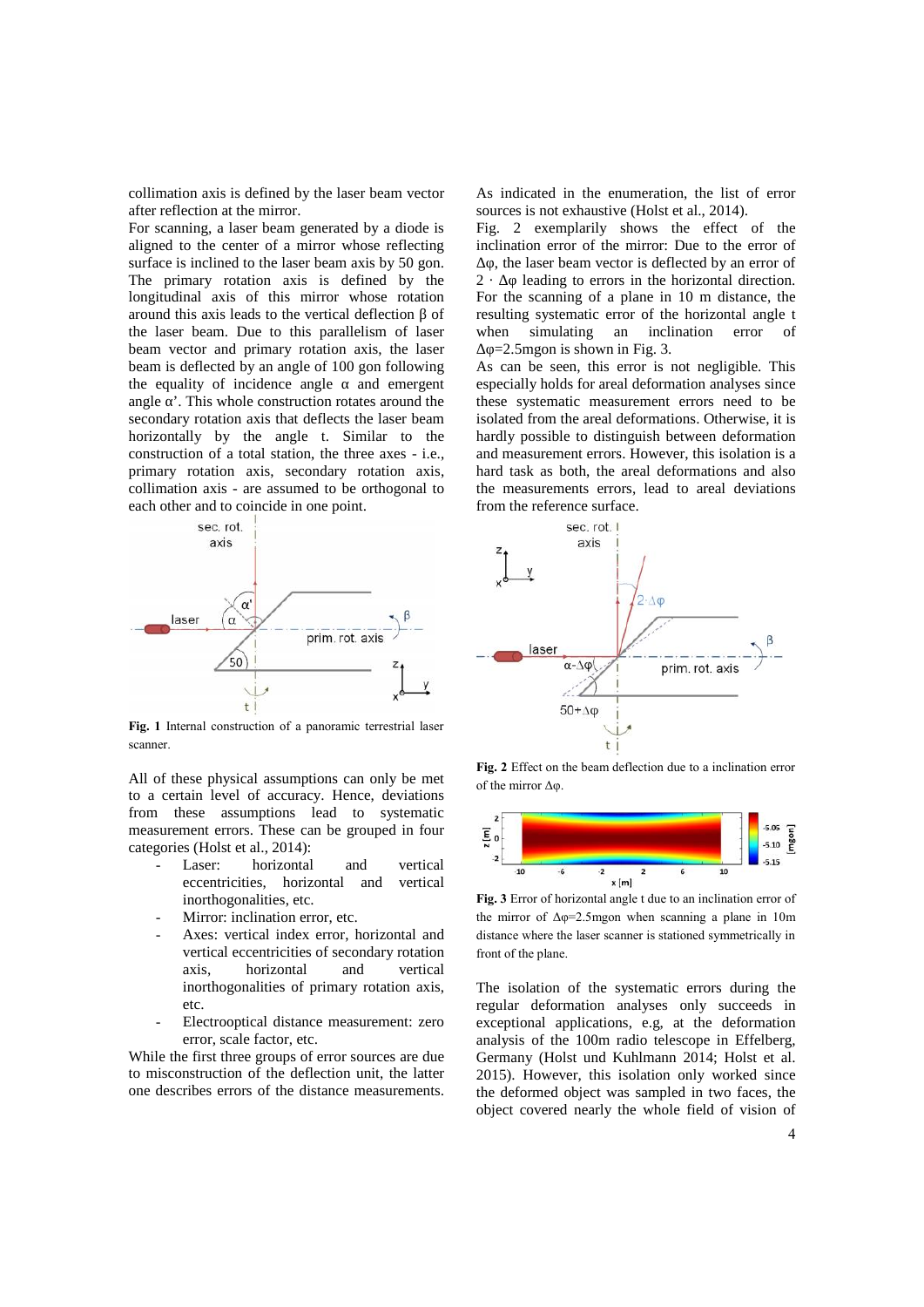collimation axis is defined by the laser beam vector after reflection at the mirror.

For scanning, a laser beam generated by a diode is aligned to the center of a mirror whose reflecting surface is inclined to the laser beam axis by 50 gon. The primary rotation axis is defined by the  $2$ longitudinal axis of this mirror whose rotation around this axis leads to the vertical deflection of the laser beam. Due to this parallelism of laser beam vector and primary rotation axis, the laser beam is deflected by an angle of 100 gon following the equality of incidence angle and emergent angle  $\cdot$ . This whole construction rotates around the secondary rotation axis that deflects the laser beam horizontally by the angle t. Similar to the construction of a total station, the three axes - i.e., primary rotation axis, secondary rotation axis, collimation axis - are assumed to be orthogonal to each other and to coincide in one point.



**Fig. 1** Internal construction of a panoramic terrestrial laser scanner.

All of these physical assumptions can only be met to a certain level of accuracy. Hence, deviations from these assumptions lead to systematic measurement errors. These can be grouped in four  $\overline{\mathbf{E}}_0$ categories (Holst et al., 2014):

- Laser: horizontal and vertical eccentricities, horizontal and vertical inorthogonalities, etc.
- Mirror: inclination error, etc.
- Axes: vertical index error, horizontal and vertical eccentricities of secondary rotation axis, horizontal and vertical inorthogonalities of primary rotation axis, etc.
- Electrooptical distance measurement: zero error, scale factor, etc.

While the first three groups of error sources are due to misconstruction of the deflection unit, the latter one describes errors of the distance measurements.

As indicated in the enumeration, the list of error sources is not exhaustive (Holst et al., 2014).

Fig. 2 exemplarily shows the effect of the inclination error of the mirror: Due to the error of

, the laser beam vector is deflected by an error of leading to errors in the horizontal direction. For the scanning of a plane in 10 m distance, the resulting systematic error of the horizontal angle t simulating an inclination error of  $=$  2.5mgon is shown in Fig. 3.

As can be seen, this error is not negligible. This especially holds for areal deformation analyses since these systematic measurement errors need to be isolated from the areal deformations. Otherwise, it is hardly possible to distinguish between deformation and measurement errors. However, this isolation is a hard task as both, the areal deformations and also the measurements errors, lead to areal deviations from the reference surface.



**Fig. 2** Effect on the beam deflection due to a inclination error of the mirror Δφ.



**Fig. 3** Error of horizontal angle t due to an inclination error of the mirror of  $\Delta \varphi = 2.5$ mgon when scanning a plane in 10m distance where the laser scanner is stationed symmetrically in front of the plane.

The isolation of the systematic errors during the regular deformation analyses only succeeds in exceptional applications, e.g, at the deformation analysis of the 100m radio telescope in Effelberg, Germany (Holst und Kuhlmann 2014; Holst et al. 2015). However, this isolation only worked since the deformed object was sampled in two faces, the object covered nearly the whole field of vision of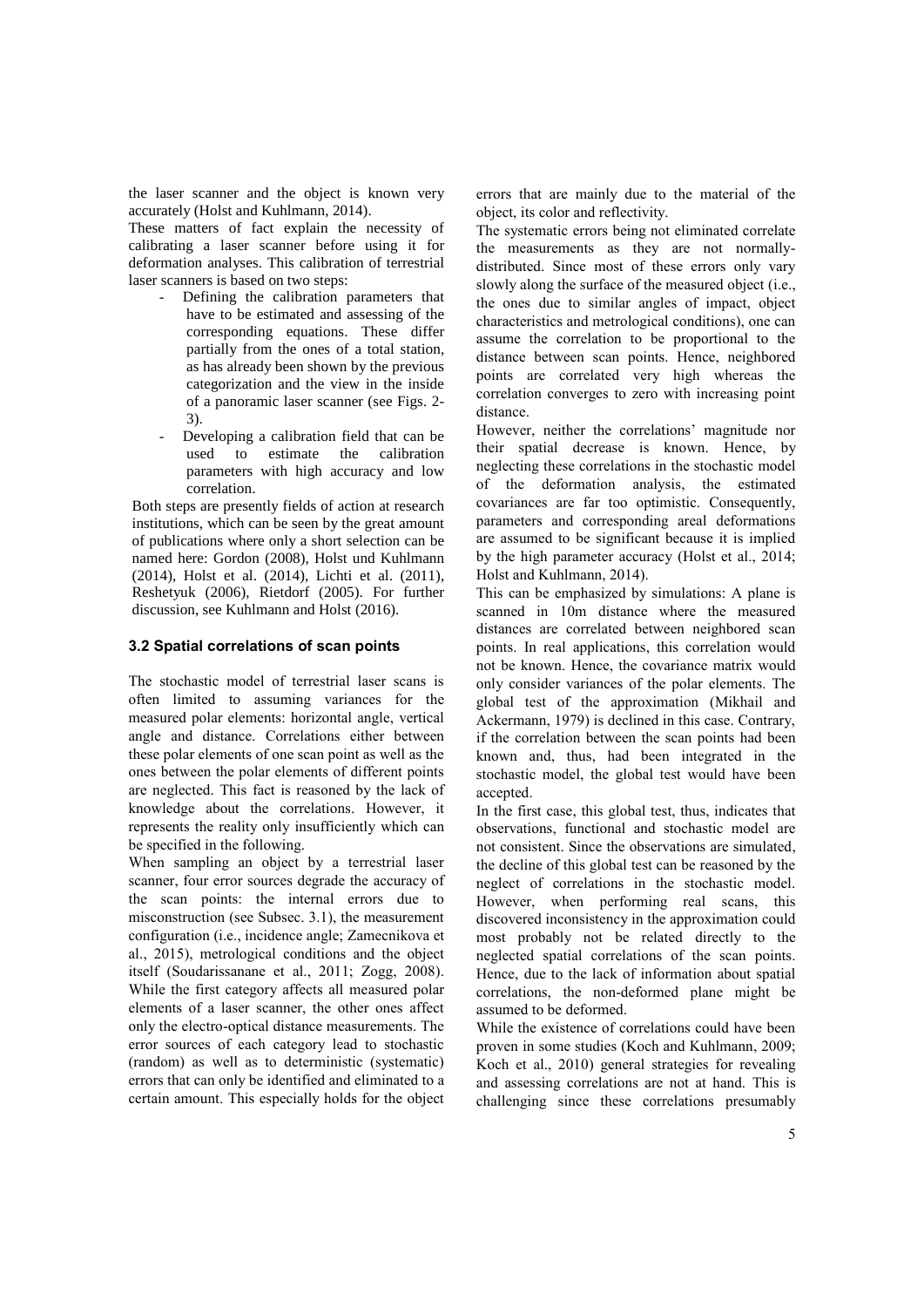the laser scanner and the object is known very accurately (Holst and Kuhlmann, 2014).

These matters of fact explain the necessity of calibrating a laser scanner before using it for deformation analyses. This calibration of terrestrial laser scanners is based on two steps:

- Defining the calibration parameters that have to be estimated and assessing of the corresponding equations. These differ partially from the ones of a total station, as has already been shown by the previous categorization and the view in the inside of a panoramic laser scanner (see Figs. 2- 3).
- Developing a calibration field that can be used to estimate the calibration parameters with high accuracy and low correlation.

Both steps are presently fields of action at research institutions, which can be seen by the great amount of publications where only a short selection can be named here: Gordon (2008), Holst und Kuhlmann (2014), Holst et al. (2014), Lichti et al. (2011), Reshetyuk (2006), Rietdorf (2005). For further discussion, see Kuhlmann and Holst (2016).

#### **3.2 Spatial correlations of scan points**

The stochastic model of terrestrial laser scans is often limited to assuming variances for the measured polar elements: horizontal angle, vertical angle and distance. Correlations either between these polar elements of one scan point as well as the ones between the polar elements of different points are neglected. This fact is reasoned by the lack of knowledge about the correlations. However, it represents the reality only insufficiently which can be specified in the following.

When sampling an object by a terrestrial laser scanner, four error sources degrade the accuracy of the scan points: the internal errors due to misconstruction (see Subsec. 3.1), the measurement configuration (i.e., incidence angle; Zamecnikova et al., 2015), metrological conditions and the object itself (Soudarissanane et al., 2011; Zogg, 2008). While the first category affects all measured polar elements of a laser scanner, the other ones affect only the electro-optical distance measurements. The error sources of each category lead to stochastic (random) as well as to deterministic (systematic) errors that can only be identified and eliminated to a certain amount. This especially holds for the object

errors that are mainly due to the material of the object, its color and reflectivity.

The systematic errors being not eliminated correlate the measurements as they are not normally distributed. Since most of these errors only vary slowly along the surface of the measured object (i.e., the ones due to similar angles of impact, object characteristics and metrological conditions), one can assume the correlation to be proportional to the distance between scan points. Hence, neighbored points are correlated very high whereas the correlation converges to zero with increasing point distance.

However, neither the correlations' magnitude nor their spatial decrease is known. Hence, by neglecting these correlations in the stochastic model of the deformation analysis, the estimated covariances are far too optimistic. Consequently, parameters and corresponding areal deformations are assumed to be significant because it is implied by the high parameter accuracy (Holst et al., 2014; Holst and Kuhlmann, 2014).

This can be emphasized by simulations: A plane is scanned in 10m distance where the measured distances are correlated between neighbored scan points. In real applications, this correlation would not be known. Hence, the covariance matrix would only consider variances of the polar elements. The global test of the approximation (Mikhail and Ackermann, 1979) is declined in this case. Contrary, if the correlation between the scan points had been known and, thus, had been integrated in the stochastic model, the global test would have been accepted.

In the first case, this global test, thus, indicates that observations, functional and stochastic model are not consistent. Since the observations are simulated, the decline of this global test can be reasoned by the neglect of correlations in the stochastic model. However, when performing real scans, this discovered inconsistency in the approximation could most probably not be related directly to the neglected spatial correlations of the scan points. Hence, due to the lack of information about spatial correlations, the non-deformed plane might be assumed to be deformed.

While the existence of correlations could have been proven in some studies (Koch and Kuhlmann, 2009; Koch et al., 2010) general strategies for revealing and assessing correlations are not at hand. This is challenging since these correlations presumably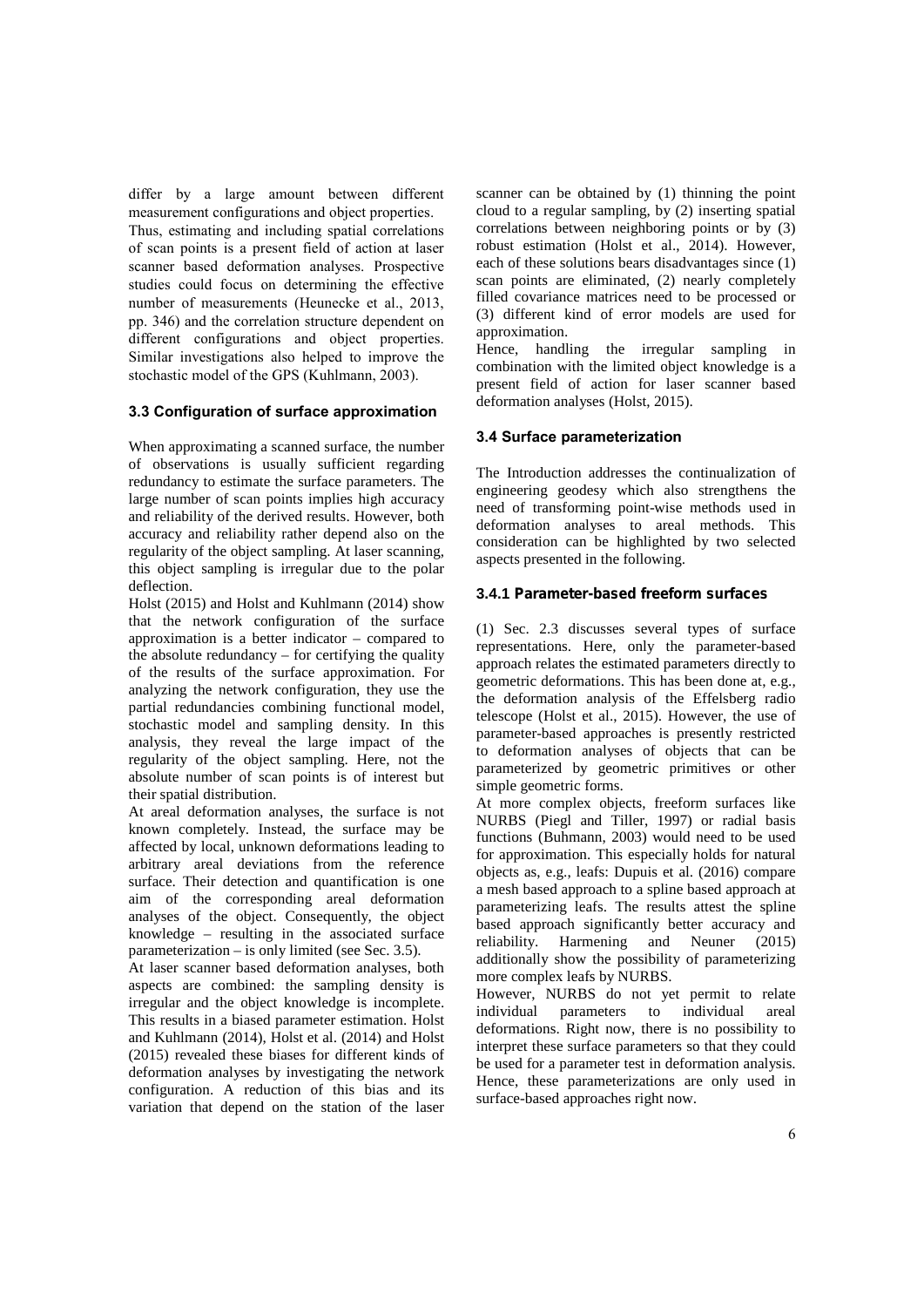differ by a large amount between different measurement configurations and object properties. Thus, estimating and including spatial correlations of scan points is a present field of action at laser scanner based deformation analyses. Prospective studies could focus on determining the effective number of measurements (Heunecke et al., 2013, pp. 346) and the correlation structure dependent on different configurations and object properties. Similar investigations also helped to improve the stochastic model of the GPS (Kuhlmann, 2003).

## **3.3 Configuration of surface approximation**

When approximating a scanned surface, the number of observations is usually sufficient regarding redundancy to estimate the surface parameters. The large number of scan points implies high accuracy and reliability of the derived results. However, both accuracy and reliability rather depend also on the regularity of the object sampling. At laser scanning, this object sampling is irregular due to the polar deflection.

Holst (2015) and Holst and Kuhlmann (2014) show that the network configuration of the surface approximation is a better indicator – compared to the absolute redundancy – for certifying the quality of the results of the surface approximation. For analyzing the network configuration, they use the partial redundancies combining functional model, stochastic model and sampling density. In this analysis, they reveal the large impact of the regularity of the object sampling. Here, not the absolute number of scan points is of interest but their spatial distribution.

At areal deformation analyses, the surface is not known completely. Instead, the surface may be affected by local, unknown deformations leading to arbitrary areal deviations from the reference surface. Their detection and quantification is one aim of the corresponding areal deformation analyses of the object. Consequently, the object knowledge – resulting in the associated surface parameterization – is only limited (see Sec. 3.5).

At laser scanner based deformation analyses, both aspects are combined: the sampling density is irregular and the object knowledge is incomplete. Integular and the object knowledge is incomplete.<br>This results in a biased parameter estimation. Holst and Kuhlmann (2014), Holst et al. (2014) and Holst (2015) revealed these biases for different kinds of deformation analyses by investigating the network configuration. A reduction of this bias and its variation that depend on the station of the laser

scanner can be obtained by (1) thinning the point cloud to a regular sampling, by (2) inserting spatial correlations between neighboring points or by (3) robust estimation (Holst et al., 2014). However, each of these solutions bears disadvantages since (1) scan points are eliminated, (2) nearly completely filled covariance matrices need to be processed or (3) different kind of error models are used for approximation.

Hence, handling the irregular sampling in combination with the limited object knowledge is a present field of action for laser scanner based deformation analyses (Holst, 2015).

#### **3.4 Surface parameterization**

The Introduction addresses the continualization of engineering geodesy which also strengthens the need of transforming point-wise methods used in deformation analyses to areal methods. This consideration can be highlighted by two selected aspects presented in the following.

#### **3.4.1** *Parameter-based freeform surfaces*

(1) Sec. 2.3 discusses several types of surface representations. Here, only the parameter-based approach relates the estimated parameters directly to geometric deformations. This has been done at, e.g., the deformation analysis of the Effelsberg radio telescope (Holst et al., 2015). However, the use of parameter-based approaches is presently restricted to deformation analyses of objects that can be parameterized by geometric primitives or other simple geometric forms.

At more complex objects, freeform surfaces like NURBS (Piegl and Tiller, 1997) or radial basis functions (Buhmann, 2003) would need to be used for approximation. This especially holds for natural objects as, e.g., leafs: Dupuis et al. (2016) compare a mesh based approach to a spline based approach at parameterizing leafs. The results attest the spline based approach significantly better accuracy and reliability. Harmening and Neuner (2015) additionally show the possibility of parameterizing more complex leafs by NURBS.

However, NURBS do not yet permit to relate individual parameters to individual areal deformations. Right now, there is no possibility to interpret these surface parameters so that they could be used for a parameter test in deformation analysis. Hence, these parameterizations are only used in surface-based approaches right now.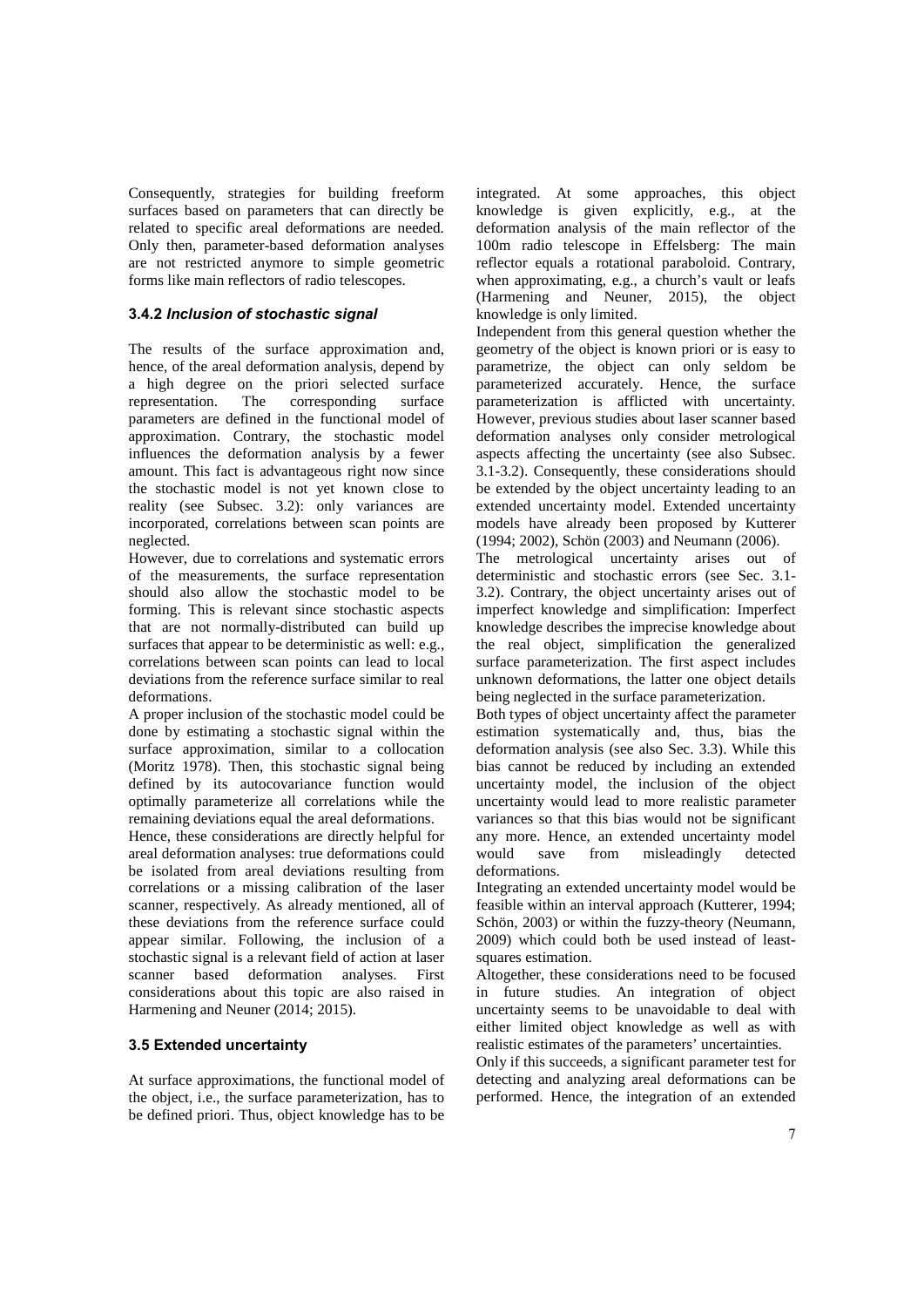Consequently, strategies for building freeform surfaces based on parameters that can directly be related to specific areal deformations are needed. Only then, parameter-based deformation analyses are not restricted anymore to simple geometric forms like main reflectors of radio telescopes.

## **3.4.2** *Inclusion of stochastic signal*

The results of the surface approximation and, hence, of the areal deformation analysis, depend by a high degree on the priori selected surface<br>representation. The corresponding surface representation. The corresponding surface parameters are defined in the functional model of approximation. Contrary, the stochastic model influences the deformation analysis by a fewer amount. This fact is advantageous right now since the stochastic model is not yet known close to reality (see Subsec. 3.2): only variances are incorporated, correlations between scan points are neglected.

However, due to correlations and systematic errors of the measurements, the surface representation should also allow the stochastic model to be forming. This is relevant since stochastic aspects that are not normally-distributed can build up surfaces that appear to be deterministic as well: e.g., correlations between scan points can lead to local deviations from the reference surface similar to real deformations.

A proper inclusion of the stochastic model could be done by estimating a stochastic signal within the surface approximation, similar to a collocation (Moritz 1978). Then, this stochastic signal being defined by its autocovariance function would optimally parameterize all correlations while the remaining deviations equal the areal deformations.

Hence, these considerations are directly helpful for areal deformation analyses: true deformations could be isolated from areal deviations resulting from correlations or a missing calibration of the laser scanner, respectively. As already mentioned, all of these deviations from the reference surface could appear similar. Following, the inclusion of a stochastic signal is a relevant field of action at laser scanner based deformation analyses. First considerations about this topic are also raised in Harmening and Neuner (2014; 2015).

## **3.5 Extended uncertainty**

At surface approximations, the functional model of the object, i.e., the surface parameterization, has to be defined priori. Thus, object knowledge has to be integrated. At some approaches, this object knowledge is given explicitly, e.g., at the deformation analysis of the main reflector of the 100m radio telescope in Effelsberg: The main reflector equals a rotational paraboloid. Contrary, when approximating, e.g., a church's vault or leafs (Harmening and Neuner, 2015), the object knowledge is only limited.

Independent from this general question whether the geometry of the object is known priori or is easy to parametrize, the object can only seldom be parameterized accurately. Hence, the surface parameterization is afflicted with uncertainty. However, previous studies about laser scanner based deformation analyses only consider metrological aspects affecting the uncertainty (see also Subsec. 3.1-3.2). Consequently, these considerations should be extended by the object uncertainty leading to an extended uncertainty model. Extended uncertainty models have already been proposed by Kutterer (1994; 2002), Schön (2003) and Neumann (2006).

The metrological uncertainty arises out of deterministic and stochastic errors (see Sec. 3.1- 3.2). Contrary, the object uncertainty arises out of imperfect knowledge and simplification: Imperfect knowledge describes the imprecise knowledge about the real object, simplification the generalized surface parameterization. The first aspect includes unknown deformations, the latter one object details being neglected in the surface parameterization.

Both types of object uncertainty affect the parameter estimation systematically and, thus, bias the deformation analysis (see also Sec. 3.3). While this bias cannot be reduced by including an extended uncertainty model, the inclusion of the object uncertainty would lead to more realistic parameter variances so that this bias would not be significant any more. Hence, an extended uncertainty model save from misleadingly detected deformations.

Integrating an extended uncertainty model would be feasible within an interval approach (Kutterer, 1994; Schön, 2003) or within the fuzzy-theory (Neumann, 2009) which could both be used instead of least squares estimation.

Altogether, these considerations need to be focused in future studies. An integration of object uncertainty seems to be unavoidable to deal with either limited object knowledge as well as with realistic estimates of the parameters' uncertainties.

Only if this succeeds, a significant parameter test for detecting and analyzing areal deformations can be performed. Hence, the integration of an extended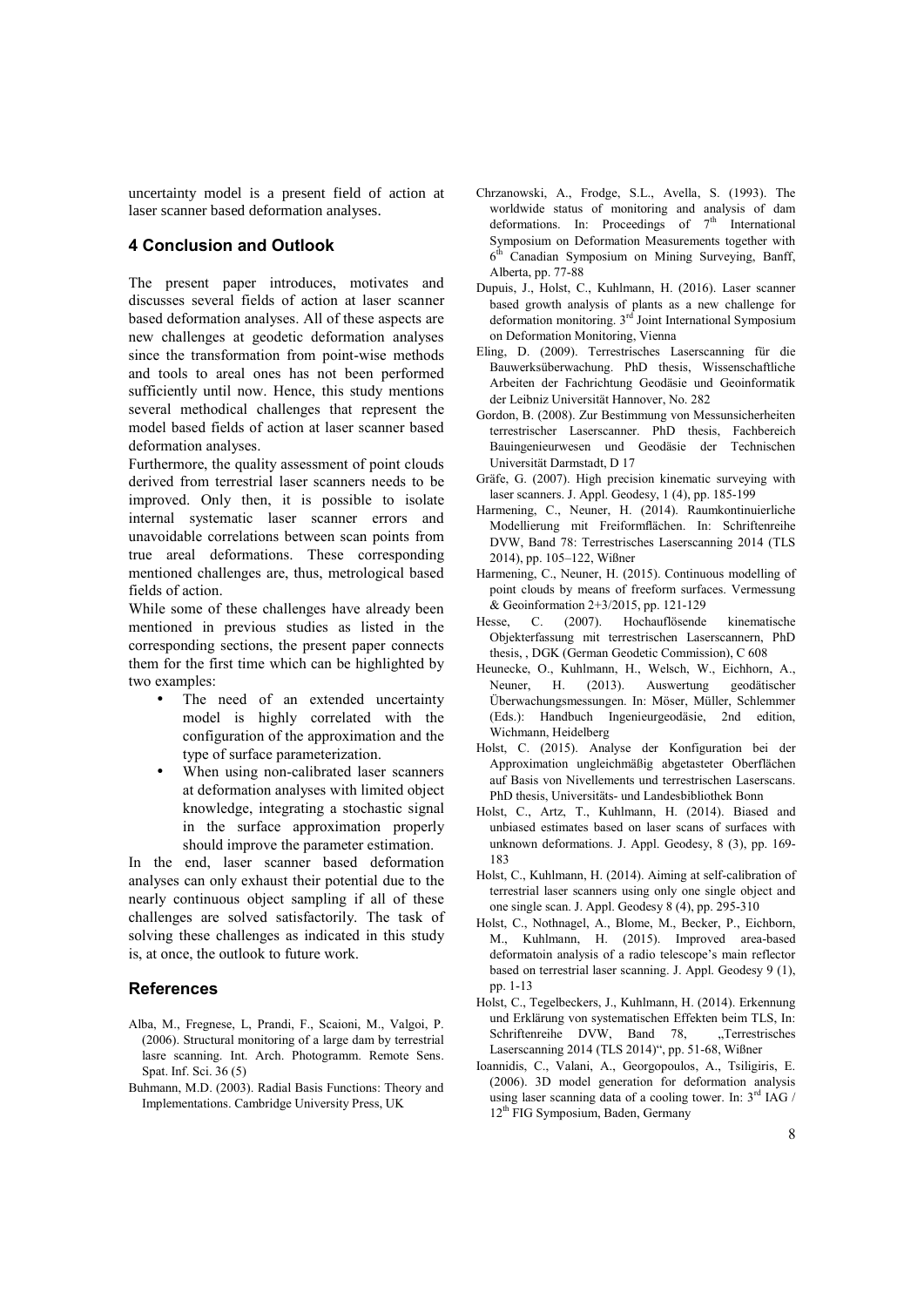uncertainty model is a present field of action at laser scanner based deformation analyses.

# **4 Conclusion and Outlook**

The present paper introduces, motivates and discusses several fields of action at laser scanner based deformation analyses. All of these aspects are new challenges at geodetic deformation analyses since the transformation from point-wise methods and tools to areal ones has not been performed sufficiently until now. Hence, this study mentions several methodical challenges that represent the model based fields of action at laser scanner based deformation analyses.

Furthermore, the quality assessment of point clouds derived from terrestrial laser scanners needs to be improved. Only then, it is possible to isolate internal systematic laser scanner errors and unavoidable correlations between scan points from true areal deformations. These corresponding mentioned challenges are, thus, metrological based fields of action.

While some of these challenges have already been  $\&$  Ge montioned in provious studies as listed in the Hesse, mentioned in previous studies as listed in the corresponding sections, the present paper connects them for the first time which can be highlighted by two examples:

- The need of an extended uncertainty model is highly correlated with the configuration of the approximation and the type of surface parameterization.
- When using non-calibrated laser scanners at deformation analyses with limited object knowledge, integrating a stochastic signal in the surface approximation properly should improve the parameter estimation.

In the end, laser scanner based deformation analyses can only exhaust their potential due to the nearly continuous object sampling if all of these challenges are solved satisfactorily. The task of solving these challenges as indicated in this study is, at once, the outlook to future work.

# **References**

- Alba, M., Fregnese, L, Prandi, F., Scaioni, M., Valgoi, P. (2006). Structural monitoring of a large dam by terrestrial lasre scanning. Int. Arch. Photogramm. Remote Sens. Spat. Inf. Sci. 36 (5)
- Buhmann, M.D. (2003). Radial Basis Functions: Theory and Implementations. Cambridge University Press, UK
- Chrzanowski, A., Frodge, S.L., Avella, S. (1993). The worldwide status of monitoring and analysis of dam deformations. In: Proceedings of  $7<sup>th</sup>$  International Symposium on Deformation Measurements together with 6 th Canadian Symposium on Mining Surveying, Banff, Alberta, pp. 77-88
- Dupuis, J., Holst, C., Kuhlmann, H. (2016). Laser scanner based growth analysis of plants as a new challenge for deformation monitoring. 3<sup>rd</sup> Joint International Symposium on Deformation Monitoring, Vienna
- Eling, D. (2009). Terrestrisches Laserscanning für die Bauwerksüberwachung. PhD thesis, Wissenschaftliche Arbeiten der Fachrichtung Geodäsie und Geoinformatik der Leibniz Universität Hannover, No. 282
- Gordon, B. (2008). Zur Bestimmung von Messunsicherheiten terrestrischer Laserscanner. PhD thesis, Fachbereich Bauingenieurwesen und Geodäsie der Technischen Universität Darmstadt, D 17
- Gräfe, G. (2007). High precision kinematic surveying with laser scanners. J. Appl. Geodesy, 1 (4), pp. 185-199
- Harmening, C., Neuner, H. (2014). Raumkontinuierliche Modellierung mit Freiformflächen. In: Schriftenreihe DVW, Band 78: Terrestrisches Laserscanning 2014 (TLS 2014), pp. 105–122, Wißner
- Harmening, C., Neuner, H. (2015). Continuous modelling of point clouds by means of freeform surfaces. Vermessung & Geoinformation 2+3/2015, pp. 121-129
- C. (2007). Hochauflösende kinematische Objekterfassung mit terrestrischen Laserscannern, PhD thesis, , DGK (German Geodetic Commission), C 608
- Heunecke, O., Kuhlmann, H., Welsch, W., Eichhorn, A., Neuner, H. (2013). Auswertung geodätischer Überwachungsmessungen. In: Möser, Müller, Schlemmer (Eds.): Handbuch Ingenieurgeodäsie, 2nd edition, Wichmann, Heidelberg
- Holst, C. (2015). Analyse der Konfiguration bei der Approximation ungleichmäßig abgetasteter Oberflächen auf Basis von Nivellements und terrestrischen Laserscans. PhD thesis, Universitäts- und Landesbibliothek Bonn
- Holst, C., Artz, T., Kuhlmann, H. (2014). Biased and unbiased estimates based on laser scans of surfaces with unknown deformations. J. Appl. Geodesy, 8 (3), pp. 169- 183
- Holst, C., Kuhlmann, H. (2014). Aiming at self-calibration of terrestrial laser scanners using only one single object and one single scan. J. Appl. Geodesy 8 (4), pp. 295-310
- Holst, C., Nothnagel, A., Blome, M., Becker, P., Eichborn, M., Kuhlmann, H. (2015). Improved area-based deformatoin analysis of a radio telescope's main reflector based on terrestrial laser scanning. J. Appl. Geodesy 9 (1), pp. 1-13
- Holst, C., Tegelbeckers, J., Kuhlmann, H. (2014). Erkennung und Erklärung von systematischen Effekten beim TLS, In:<br>Schriftenreihe DVW, Band 78. "Terrestrisches Schriftenreihe DVW, Band 78, Laserscanning 2014 (TLS 2014)", pp. 51-68, Wißner
- Ioannidis, C., Valani, A., Georgopoulos, A., Tsiligiris, E. (2006). 3D model generation for deformation analysis using laser scanning data of a cooling tower. In:  $3<sup>rd</sup>$  IAG / 12<sup>th</sup> FIG Symposium, Baden, Germany